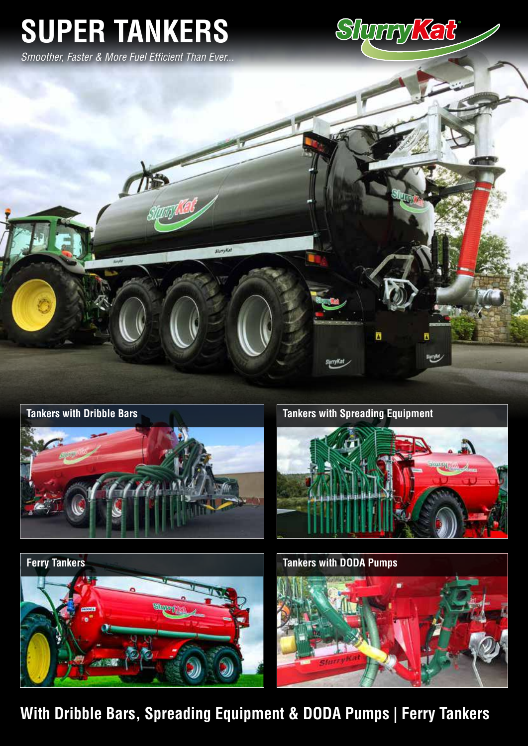# **SUPER TANKERS**

*Smoother, Faster & More Fuel Efficient Than Ever...*









**Ferry Tankers Tankers Tankers Tankers** with DODA Pumps



**With Dribble Bars, Spreading Equipment & DODA Pumps | Ferry Tankers**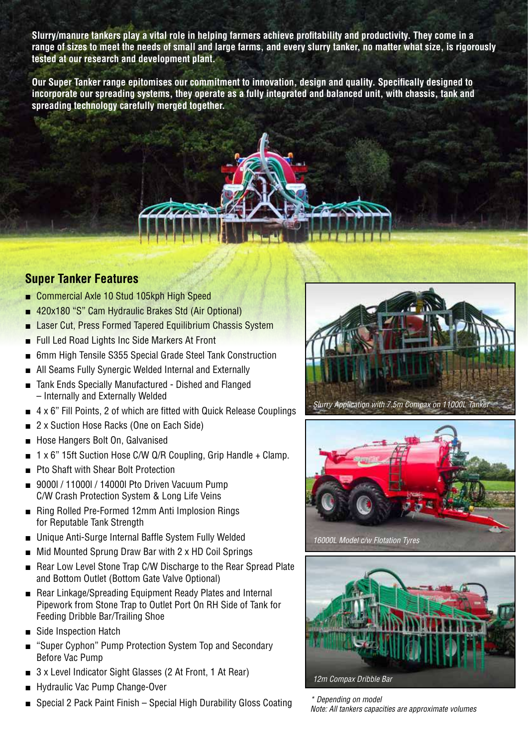**Slurry/manure tankers play a vital role in helping farmers achieve profitability and productivity. They come in a range of sizes to meet the needs of small and large farms, and every slurry tanker, no matter what size, is rigorously tested at our research and development plant.**

**Our Super Tanker range epitomises our commitment to innovation, design and quality. Specifically designed to incorporate our spreading systems, they operate as a fully integrated and balanced unit, with chassis, tank and spreading technology carefully merged together.**



# **Super Tanker Features**

- Commercial Axle 10 Stud 105kph High Speed
- 420x180 "S" Cam Hydraulic Brakes Std (Air Optional)
- Laser Cut, Press Formed Tapered Equilibrium Chassis System
- Full Led Road Lights Inc Side Markers At Front
- 6mm High Tensile S355 Special Grade Steel Tank Construction
- All Seams Fully Synergic Welded Internal and Externally
- Tank Ends Specially Manufactured Dished and Flanged – Internally and Externally Welded
- $\blacksquare$  4 x 6" Fill Points, 2 of which are fitted with Quick Release Couplings
- 2 x Suction Hose Racks (One on Each Side)
- Hose Hangers Bolt On, Galvanised
- 1 x 6" 15ft Suction Hose C/W Q/R Coupling, Grip Handle + Clamp.
- Pto Shaft with Shear Bolt Protection
- 9000l / 11000l / 14000l Pto Driven Vacuum Pump C/W Crash Protection System & Long Life Veins
- Ring Rolled Pre-Formed 12mm Anti Implosion Rings for Reputable Tank Strength
- Unique Anti-Surge Internal Baffle System Fully Welded
- Mid Mounted Sprung Draw Bar with 2 x HD Coil Springs
- Rear Low Level Stone Trap C/W Discharge to the Rear Spread Plate and Bottom Outlet (Bottom Gate Valve Optional)
- Rear Linkage/Spreading Equipment Ready Plates and Internal Pipework from Stone Trap to Outlet Port On RH Side of Tank for Feeding Dribble Bar/Trailing Shoe
- Side Inspection Hatch
- "Super Cyphon" Pump Protection System Top and Secondary Before Vac Pump
- 3 x Level Indicator Sight Glasses (2 At Front, 1 At Rear)
- Hydraulic Vac Pump Change-Over
- Special 2 Pack Paint Finish Special High Durability Gloss Coating





*16000L Model c/w Flotation Tyres*



*\* Depending on model Note: All tankers capacities are approximate volumes*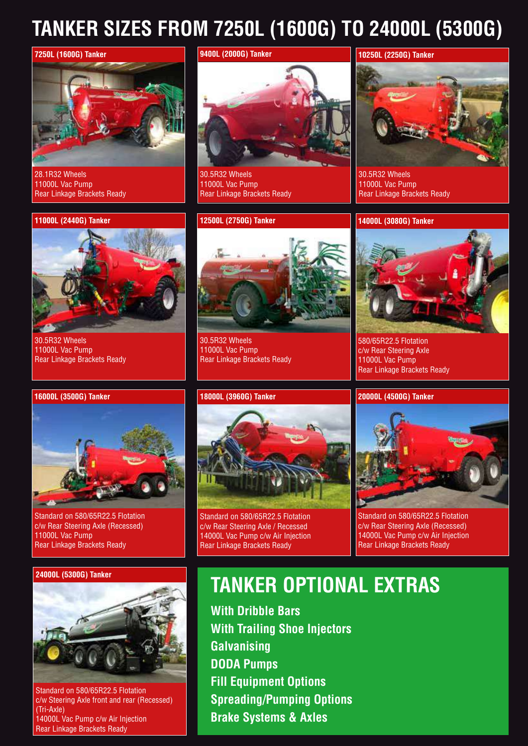# **TANKER SIZES FROM 7250L (1600G) TO 24000L (5300G)**



28.1R32 Wheels 11000L Vac Pump Rear Linkage Brackets Ready

**Technical Specification**

Rear Linkage Brackets Ready

30.5R32 Wheels 11000L Vac Pump

### **11000L (2440G) Tanker**



30.5R32 Wheels 11000L Vac Pump Rear Linkage Brackets Ready

### **12500L (2750G) Tanker**

**9400L (2000G) Tanker**



30.5R32 Wheels 11000L Vac Pump Rear Linkage Brackets Ready

### **18000L (3960G) Tanker**

# **10250L (2250G) Tanker**

30.5R32 Wheels 11000L Vac Pump Rear Linkage Brackets Ready

### **14000L (3080G) Tanker**



580/65R22.5 Flotation c/w Rear Steering Axle 11000L Vac Pump Rear Linkage Brackets Ready

### **20000L (4500G) Tanker**



Standard on 580/65R22.5 Flotation c/w Rear Steering Axle (Recessed) 14000L Vac Pump c/w Air Injection Rear Linkage Brackets Ready



Standard on 580/65R22.5 Flotation c/w Rear Steering Axle (Recessed) 11000L Vac Pump Rear Linkage Brackets Ready



Standard on 580/65R22.5 Flotation c/w Steering Axle front and rear (Recessed) (Tri-Axle) 14000L Vac Pump c/w Air Injection Rear Linkage Brackets Ready



Standard on 580/65R22.5 Flotation c/w Rear Steering Axle / Recessed 14000L Vac Pump c/w Air Injection Rear Linkage Brackets Ready

# **24000L (5300G) Tanker TANKER OPTIONAL EXTRAS**

**With Dribble Bars With Trailing Shoe Injectors Galvanising DODA Pumps Fill Equipment Options Spreading/Pumping Options Brake Systems & Axles**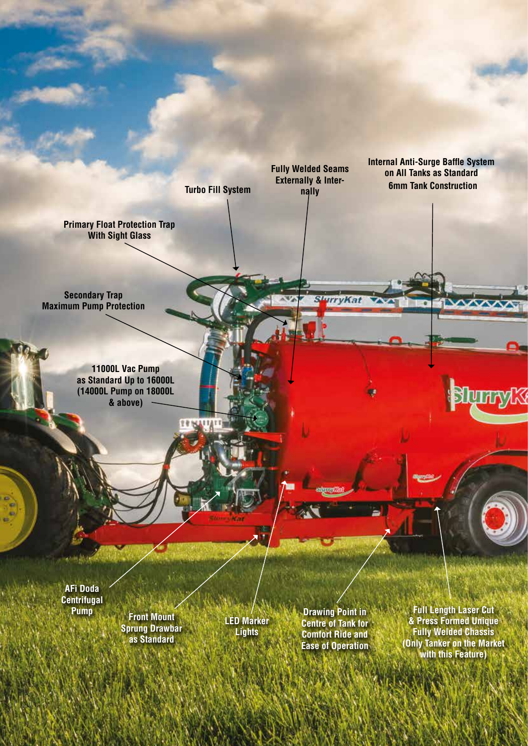**Turbo Fill System**

**14 RY 11** 

**Fully Welded Seams Externally & Inter-**

**SurryKat** 

**nally 6mm Tank Construction Internal Anti-Surge Baffle System on All Tanks as Standard**

 $\sim$ 

**Shymyk** 

**Primary Float Protection Trap With Sight Glass**

**Secondary Trap Maximum Pump Protection**

> **11000L Vac Pump as Standard Up to 16000L (14000L Pump on 18000L & above)**

**AFi Doda Centrifugal Pump**

**Front Mount Sprung Drawbar as Standard**

**LED Marker Lights**

**Drawing Point in Centre of Tank for Comfort Ride and Ease of Operation**

**Full Length Laser Cut & Press Formed Unique Fully Welded Chassis (Only Tanker on the Market with this Feature)**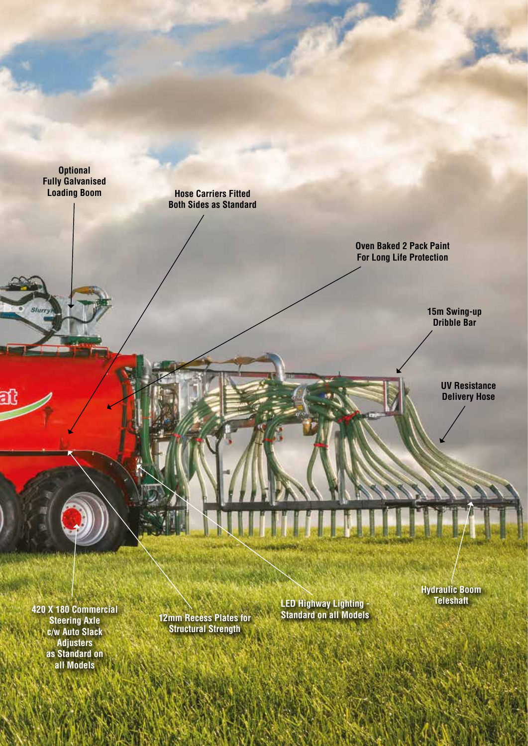**Optional Fully Galvanised Loading Boom Hose Carriers Fitted Both Sides as Standard Oven Baked 2 Pack Paint For Long Life Protection 15m Swing-up**  Slug **Dribble Bar UV Resistance Delivery Hose Hydraulic Boom Teleshaft LED Highway Lighting - 420 X 180 Commercial** 

**Steering Axle c/w Auto Slack Adjusters as Standard on all Models**

**12mm Recess Plates for Structural Strength**

**Standard on all Models**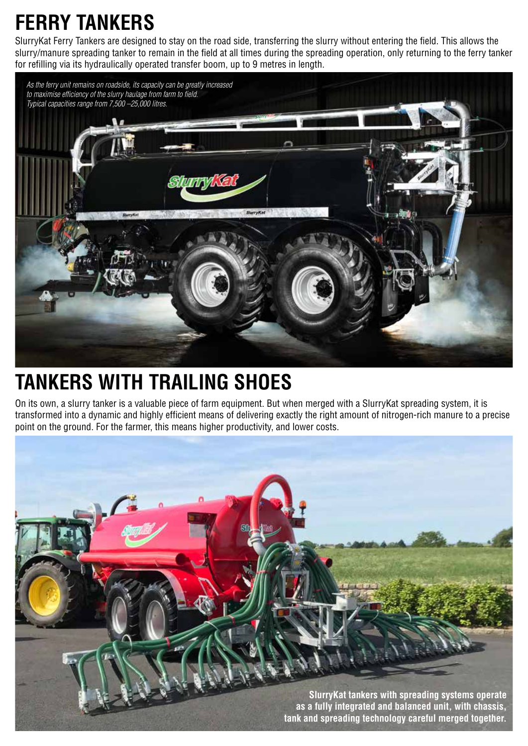# **FERRY TANKERS**

SlurryKat Ferry Tankers are designed to stay on the road side, transferring the slurry without entering the field. This allows the slurry/manure spreading tanker to remain in the field at all times during the spreading operation, only returning to the ferry tanker for refilling via its hydraulically operated transfer boom, up to 9 metres in length.



# **TANKERS WITH TRAILING SHOES**

On its own, a slurry tanker is a valuable piece of farm equipment. But when merged with a SlurryKat spreading system, it is transformed into a dynamic and highly efficient means of delivering exactly the right amount of nitrogen-rich manure to a precise point on the ground. For the farmer, this means higher productivity, and lower costs.

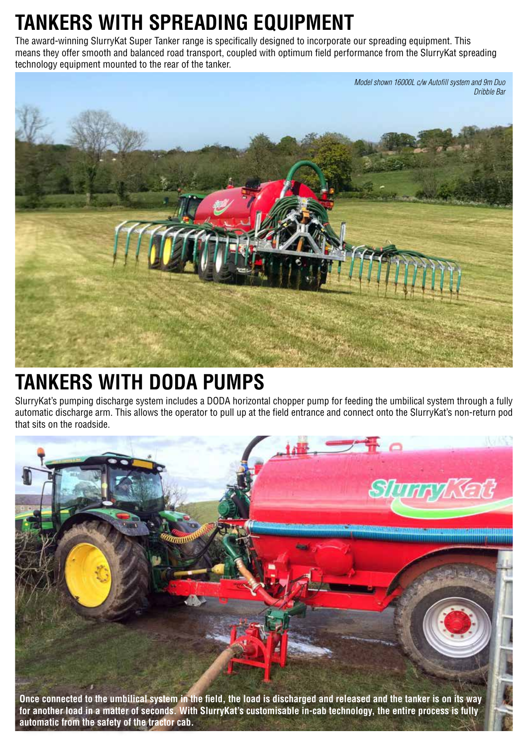# **TANKERS WITH SPREADING EQUIPMENT**

The award-winning SlurryKat Super Tanker range is specifically designed to incorporate our spreading equipment. This means they offer smooth and balanced road transport, coupled with optimum field performance from the SlurryKat spreading technology equipment mounted to the rear of the tanker.



# **TANKERS WITH DODA PUMPS**

SlurryKat's pumping discharge system includes a DODA horizontal chopper pump for feeding the umbilical system through a fully automatic discharge arm. This allows the operator to pull up at the field entrance and connect onto the SlurryKat's non-return pod that sits on the roadside.



**Once connected to the umbilical system in the field, the load is discharged and released and the tanker is on its way for another load in a matter of seconds. With SlurryKat's customisable in-cab technology, the entire process is fully automatic from the safety of the tractor cab.**